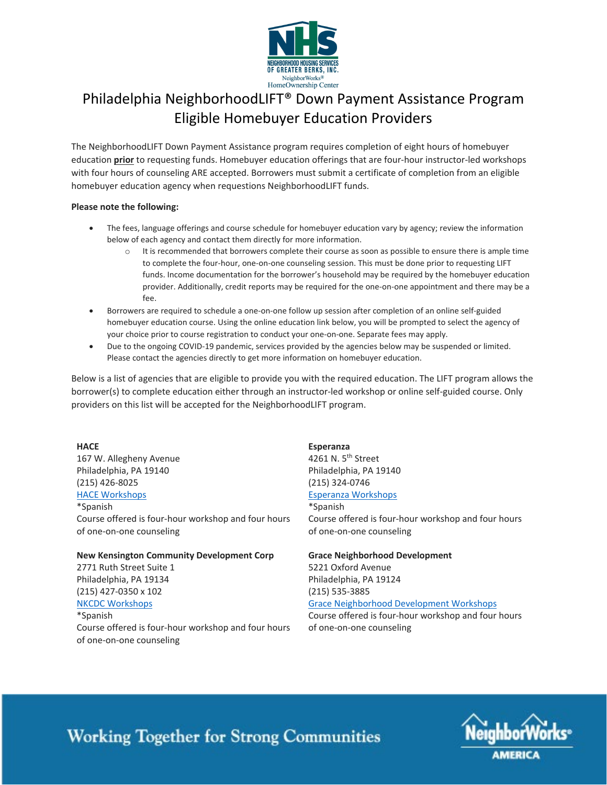

## Philadelphia NeighborhoodLIFT® Down Payment Assistance Program Eligible Homebuyer Education Providers

The NeighborhoodLIFT Down Payment Assistance program requires completion of eight hours of homebuyer education **prior** to requesting funds. Homebuyer education offerings that are four-hour instructor-led workshops with four hours of counseling ARE accepted. Borrowers must submit a certificate of completion from an eligible homebuyer education agency when requestions NeighborhoodLIFT funds.

#### **Please note the following:**

- The fees, language offerings and course schedule for homebuyer education vary by agency; review the information below of each agency and contact them directly for more information.
	- $\circ$  It is recommended that borrowers complete their course as soon as possible to ensure there is ample time to complete the four-hour, one-on-one counseling session. This must be done prior to requesting LIFT funds. Income documentation for the borrower's household may be required by the homebuyer education provider. Additionally, credit reports may be required for the one-on-one appointment and there may be a fee.
- Borrowers are required to schedule a one-on-one follow up session after completion of an online self-guided homebuyer education course. Using the online education link below, you will be prompted to select the agency of your choice prior to course registration to conduct your one-on-one. Separate fees may apply.
- Due to the ongoing COVID-19 pandemic, services provided by the agencies below may be suspended or limited. Please contact the agencies directly to get more information on homebuyer education.

Below is a list of agencies that are eligible to provide you with the required education. The LIFT program allows the borrower(s) to complete education either through an instructor-led workshop or online self-guided course. Only providers on this list will be accepted for the NeighborhoodLIFT program.

#### **HACE**

167 W. Allegheny Avenue Philadelphia, PA 19140 (215) 426-8025 [HACE Workshops](https://www.hacecdc.org/services/housing-counseling/)

\*Spanish

Course offered is four-hour workshop and four hours of one-on-one counseling

#### **New Kensington Community Development Corp**

2771 Ruth Street Suite 1 Philadelphia, PA 19134 (215) 427-0350 x 102 [NKCDC Workshops](https://nkcdc.org/housing-services/buying-a-home/homebuyer-workshops/) \*Spanish Course offered is four-hour workshop and four hours

of one-on-one counseling

**Esperanza** 4261 N. 5<sup>th</sup> Street Philadelphia, PA 19140 (215) 324-0746 [Esperanza Workshops](https://www.esperanza.us/esperanza-housing-counseling/)

\*Spanish Course offered is four-hour workshop and four hours of one-on-one counseling

#### **Grace Neighborhood Development**

5221 Oxford Avenue Philadelphia, PA 19124 (215) 535-3885 [Grace Neighborhood Development Workshops](http://www.gndchca.com/Housing/)

Course offered is four-hour workshop and four hours of one-on-one counseling

# **Working Together for Strong Communities**

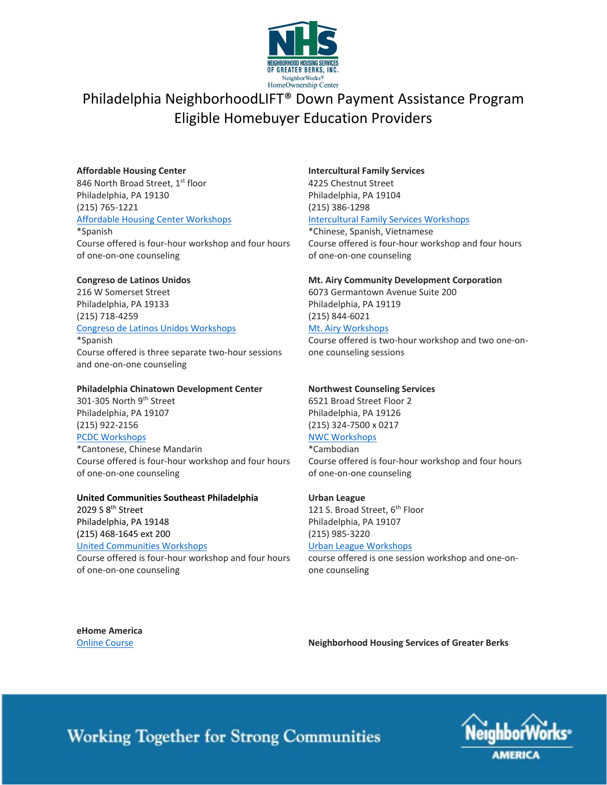

### Philadelphia NeighborhoodLIFT® Down Payment Assistance Program Eligible Homebuyer Education Providers

#### **Affordable Housing Center**

846 North Broad Street, 1st floor Philadelphia, PA 19130 (215) 765-1221 [Affordable Housing Center Workshops](https://www.ahcopa.org/workshops.html)

\*Spanish Course offered is four-hour workshop and four hours of one-on-one counseling

#### **Congreso de Latinos Unidos**

216 W Somerset Street Philadelphia, PA 19133 (215) 718-4259 [Congreso de Latinos Unidos Workshops](https://www.congreso.net/services/family-and-housing/housing/home-ownership-workshop/) \*Spanish Course offered is three separate two-hour sessions and one-on-one counseling

#### **Philadelphia Chinatown Development Center**

301-305 North 9th Street Philadelphia, PA 19107 (215) 922-2156 [PCDC Workshops](https://chinatown-pcdc.org/programs-services/chinatown-homeownership-initiative/) \*Cantonese, Chinese Mandarin

Course offered is four-hour workshop and four hours of one-on-one counseling

### **United Communities Southeast Philadelphia**

2029 S 8<sup>th</sup> Street Philadelphia, PA 19148 (215) 468-1645 ext 200 [United Communities Workshops](http://ucsep.org/basic-needs/)

Course offered is four-hour workshop and four hours of one-on-one counseling

#### **Intercultural Family Services**

4225 Chestnut Street Philadelphia, PA 19104 (215) 386-1298 [Intercultural Family Services Workshops](https://ifsinc.org/our-services/community-enrichmentbasic-needs-services/)

\*Chinese, Spanish, Vietnamese Course offered is four-hour workshop and four hours of one-on-one counseling

#### **Mt. Airy Community Development Corporation**

6073 Germantown Avenue Suite 200 Philadelphia, PA 19119 (215) 844-6021 [Mt. Airy Workshops](https://mtairycdc.org/what-we-do/housing-counseling/path-to-homeownership/) Course offered is two-hour workshop and two one-onone counseling sessions

#### **Northwest Counseling Services**

6521 Broad Street Floor 2 Philadelphia, PA 19126 (215) 324-7500 x 0217 [NWC Workshops](http://www.nwcsinc.org/#x-section-2)

\*Cambodian

Course offered is four-hour workshop and four hours of one-on-one counseling

#### **Urban League**

121 S. Broad Street, 6<sup>th</sup> Floor Philadelphia, PA 19107 (215) 985-3220

#### [Urban League Workshops](https://urbanleaguephila.org/what-we-do/housing-counseling/)

course offered is one session workshop and one-onone counseling

**eHome America**

[Online Course](https://nwlift.ehomeamerica.org/sponsor_user/sponsor_main) **Neighborhood Housing Services of Greater Berks**